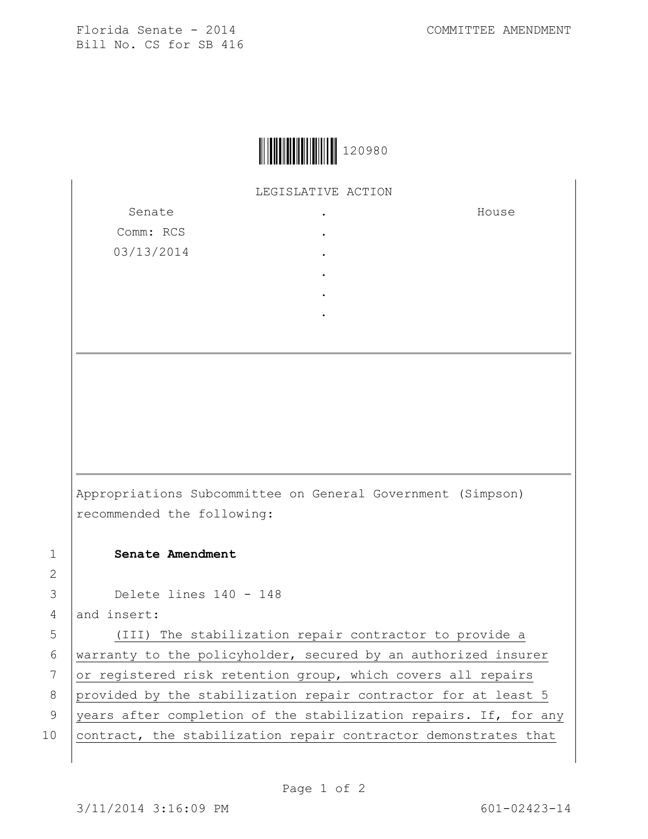Florida Senate - 2014 COMMITTEE AMENDMENT Bill No. CS for SB 416



## LEGISLATIVE ACTION

Senate Comm: RCS 03/13/2014 . . . . . . House

Appropriations Subcommittee on General Government (Simpson) recommended the following:

## 1 **Senate Amendment**

3 Delete lines 140 - 148

4 and insert:

2

5 (III) The stabilization repair contractor to provide a 6 warranty to the policyholder, secured by an authorized insurer 7 or registered risk retention group, which covers all repairs 8 provided by the stabilization repair contractor for at least 5 9 years after completion of the stabilization repairs. If, for any 10 contract, the stabilization repair contractor demonstrates that